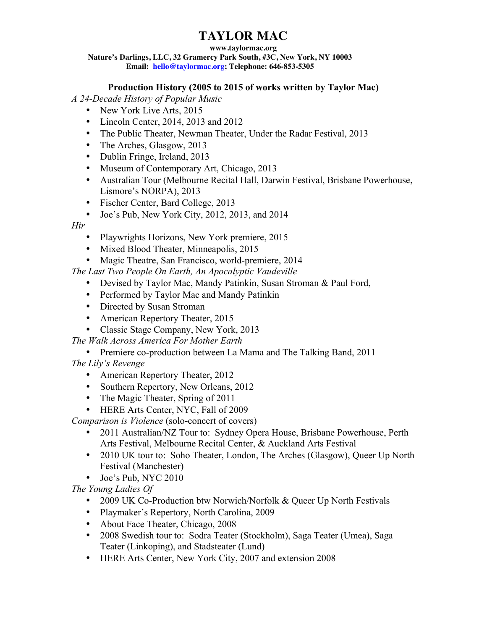## **TAYLOR MAC**

### **www.taylormac.org**

**Nature's Darlings, LLC, 32 Gramercy Park South, #3C, New York, NY 10003 Email: hello@taylormac.org; Telephone: 646-853-5305**

## **Production History (2005 to 2015 of works written by Taylor Mac)**

*A 24-Decade History of Popular Music*

- New York Live Arts, 2015
- Lincoln Center, 2014, 2013 and 2012
- The Public Theater, Newman Theater, Under the Radar Festival, 2013
- The Arches, Glasgow, 2013
- Dublin Fringe, Ireland, 2013
- Museum of Contemporary Art, Chicago, 2013
- Australian Tour (Melbourne Recital Hall, Darwin Festival, Brisbane Powerhouse, Lismore's NORPA), 2013
- Fischer Center, Bard College, 2013
- Joe's Pub, New York City, 2012, 2013, and 2014

*Hir*

- Playwrights Horizons, New York premiere, 2015
- Mixed Blood Theater, Minneapolis, 2015
- Magic Theatre, San Francisco, world-premiere, 2014

*The Last Two People On Earth, An Apocalyptic Vaudeville*

- Devised by Taylor Mac, Mandy Patinkin, Susan Stroman & Paul Ford,
- Performed by Taylor Mac and Mandy Patinkin
- Directed by Susan Stroman
- American Repertory Theater, 2015
- Classic Stage Company, New York, 2013
- *The Walk Across America For Mother Earth*

• Premiere co-production between La Mama and The Talking Band, 2011 *The Lily's Revenge* 

- American Repertory Theater, 2012
- Southern Repertory, New Orleans, 2012
- The Magic Theater, Spring of 2011
- HERE Arts Center, NYC, Fall of 2009

*Comparison is Violence* (solo-concert of covers)

- 2011 Australian/NZ Tour to: Sydney Opera House, Brisbane Powerhouse, Perth Arts Festival, Melbourne Recital Center, & Auckland Arts Festival
- 2010 UK tour to: Soho Theater, London, The Arches (Glasgow), Queer Up North Festival (Manchester)
- Joe's Pub, NYC 2010

*The Young Ladies Of* 

- 2009 UK Co-Production btw Norwich/Norfolk & Queer Up North Festivals
- Playmaker's Repertory, North Carolina, 2009
- About Face Theater, Chicago, 2008
- 2008 Swedish tour to: Sodra Teater (Stockholm), Saga Teater (Umea), Saga Teater (Linkoping), and Stadsteater (Lund)
- HERE Arts Center, New York City, 2007 and extension 2008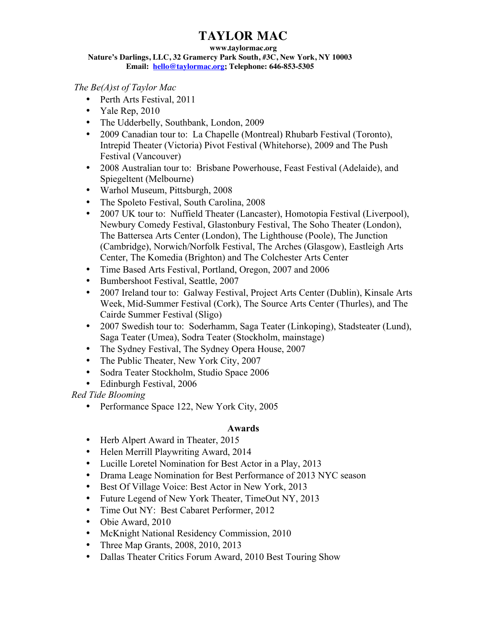## **TAYLOR MAC**

#### **www.taylormac.org**

**Nature's Darlings, LLC, 32 Gramercy Park South, #3C, New York, NY 10003 Email: hello@taylormac.org; Telephone: 646-853-5305**

*The Be(A)st of Taylor Mac*

- Perth Arts Festival, 2011
- Yale Rep, 2010
- The Udderbelly, Southbank, London, 2009
- 2009 Canadian tour to: La Chapelle (Montreal) Rhubarb Festival (Toronto), Intrepid Theater (Victoria) Pivot Festival (Whitehorse), 2009 and The Push Festival (Vancouver)
- 2008 Australian tour to: Brisbane Powerhouse, Feast Festival (Adelaide), and Spiegeltent (Melbourne)
- Warhol Museum, Pittsburgh, 2008
- The Spoleto Festival, South Carolina, 2008
- 2007 UK tour to: Nuffield Theater (Lancaster), Homotopia Festival (Liverpool), Newbury Comedy Festival, Glastonbury Festival, The Soho Theater (London), The Battersea Arts Center (London), The Lighthouse (Poole), The Junction (Cambridge), Norwich/Norfolk Festival, The Arches (Glasgow), Eastleigh Arts Center, The Komedia (Brighton) and The Colchester Arts Center
- Time Based Arts Festival, Portland, Oregon, 2007 and 2006
- Bumbershoot Festival, Seattle, 2007
- 2007 Ireland tour to: Galway Festival, Project Arts Center (Dublin), Kinsale Arts Week, Mid-Summer Festival (Cork), The Source Arts Center (Thurles), and The Cairde Summer Festival (Sligo)
- 2007 Swedish tour to: Soderhamm, Saga Teater (Linkoping), Stadsteater (Lund), Saga Teater (Umea), Sodra Teater (Stockholm, mainstage)
- The Sydney Festival, The Sydney Opera House, 2007
- The Public Theater, New York City, 2007
- Sodra Teater Stockholm, Studio Space 2006
- Edinburgh Festival, 2006

*Red Tide Blooming*

• Performance Space 122, New York City, 2005

## **Awards**

- Herb Alpert Award in Theater, 2015
- Helen Merrill Playwriting Award, 2014
- Lucille Loretel Nomination for Best Actor in a Play, 2013
- Drama Leage Nomination for Best Performance of 2013 NYC season
- Best Of Village Voice: Best Actor in New York, 2013
- Future Legend of New York Theater, TimeOut NY, 2013
- Time Out NY: Best Cabaret Performer, 2012
- Obie Award, 2010
- McKnight National Residency Commission, 2010
- Three Map Grants, 2008, 2010, 2013
- Dallas Theater Critics Forum Award, 2010 Best Touring Show